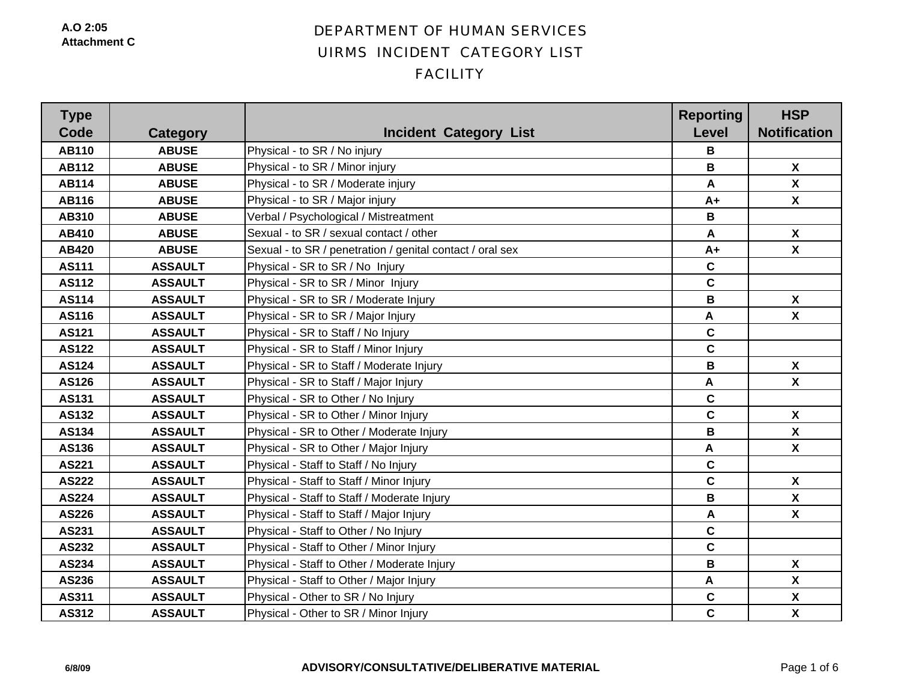| <b>Type</b><br>Code | Category       | <b>Incident Category List</b>                             | <b>Reporting</b><br><b>Level</b> | <b>HSP</b><br><b>Notification</b> |
|---------------------|----------------|-----------------------------------------------------------|----------------------------------|-----------------------------------|
| <b>AB110</b>        | <b>ABUSE</b>   | Physical - to SR / No injury                              | В                                |                                   |
| <b>AB112</b>        | <b>ABUSE</b>   | Physical - to SR / Minor injury                           | B                                | $\boldsymbol{X}$                  |
| <b>AB114</b>        | <b>ABUSE</b>   | Physical - to SR / Moderate injury                        | A                                | $\boldsymbol{X}$                  |
| AB116               | <b>ABUSE</b>   | Physical - to SR / Major injury                           | $A+$                             | $\mathsf{X}$                      |
| AB310               | <b>ABUSE</b>   | Verbal / Psychological / Mistreatment                     | В                                |                                   |
| AB410               | <b>ABUSE</b>   | Sexual - to SR / sexual contact / other                   | A                                | $\boldsymbol{X}$                  |
| AB420               | <b>ABUSE</b>   | Sexual - to SR / penetration / genital contact / oral sex | $A+$                             | $\boldsymbol{\mathsf{X}}$         |
| <b>AS111</b>        | <b>ASSAULT</b> | Physical - SR to SR / No Injury                           | C                                |                                   |
| <b>AS112</b>        | <b>ASSAULT</b> | Physical - SR to SR / Minor Injury                        | $\mathbf C$                      |                                   |
| AS114               | <b>ASSAULT</b> | Physical - SR to SR / Moderate Injury                     | B                                | $\boldsymbol{X}$                  |
| AS116               | <b>ASSAULT</b> | Physical - SR to SR / Major Injury                        | A                                | $\boldsymbol{X}$                  |
| AS121               | <b>ASSAULT</b> | Physical - SR to Staff / No Injury                        | $\mathbf c$                      |                                   |
| <b>AS122</b>        | <b>ASSAULT</b> | Physical - SR to Staff / Minor Injury                     | $\mathbf c$                      |                                   |
| AS124               | <b>ASSAULT</b> | Physical - SR to Staff / Moderate Injury                  | В                                | $\boldsymbol{X}$                  |
| AS126               | <b>ASSAULT</b> | Physical - SR to Staff / Major Injury                     | $\blacktriangle$                 | $\boldsymbol{X}$                  |
| AS131               | <b>ASSAULT</b> | Physical - SR to Other / No Injury                        | $\mathbf c$                      |                                   |
| AS132               | <b>ASSAULT</b> | Physical - SR to Other / Minor Injury                     | $\mathbf C$                      | $\boldsymbol{\mathsf{X}}$         |
| AS134               | <b>ASSAULT</b> | Physical - SR to Other / Moderate Injury                  | В                                | $\boldsymbol{X}$                  |
| AS136               | <b>ASSAULT</b> | Physical - SR to Other / Major Injury                     | A                                | X                                 |
| AS221               | <b>ASSAULT</b> | Physical - Staff to Staff / No Injury                     | $\mathbf C$                      |                                   |
| <b>AS222</b>        | <b>ASSAULT</b> | Physical - Staff to Staff / Minor Injury                  | $\mathbf c$                      | $\boldsymbol{X}$                  |
| AS224               | <b>ASSAULT</b> | Physical - Staff to Staff / Moderate Injury               | B                                | $\boldsymbol{\mathsf{X}}$         |
| AS226               | <b>ASSAULT</b> | Physical - Staff to Staff / Major Injury                  | A                                | $\boldsymbol{X}$                  |
| AS231               | <b>ASSAULT</b> | Physical - Staff to Other / No Injury                     | $\mathbf c$                      |                                   |
| AS232               | <b>ASSAULT</b> | Physical - Staff to Other / Minor Injury                  | $\mathbf c$                      |                                   |
| AS234               | <b>ASSAULT</b> | Physical - Staff to Other / Moderate Injury               | B                                | $\boldsymbol{X}$                  |
| AS236               | <b>ASSAULT</b> | Physical - Staff to Other / Major Injury                  | A                                | $\boldsymbol{\mathsf{X}}$         |
| AS311               | <b>ASSAULT</b> | Physical - Other to SR / No Injury                        | $\mathbf C$                      | $\pmb{\chi}$                      |
| AS312               | <b>ASSAULT</b> | Physical - Other to SR / Minor Injury                     | $\mathbf c$                      | $\boldsymbol{\mathsf{X}}$         |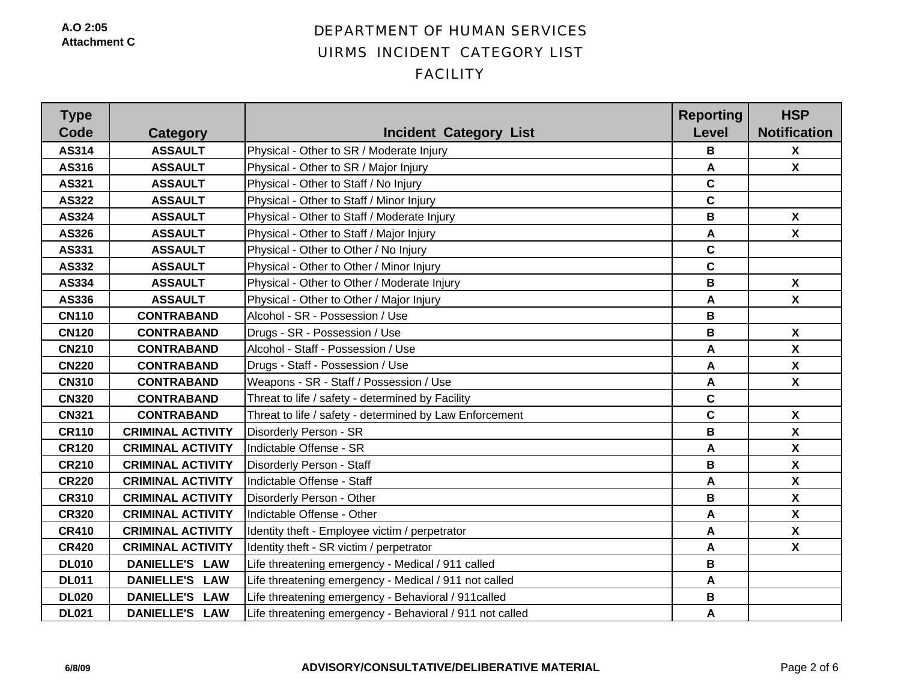**A.O 2:05Attachment C**

| <b>Type</b><br>Code | Category                 | <b>Incident Category List</b>                            | <b>Reporting</b><br>Level | <b>HSP</b><br><b>Notification</b> |
|---------------------|--------------------------|----------------------------------------------------------|---------------------------|-----------------------------------|
| AS314               | <b>ASSAULT</b>           | Physical - Other to SR / Moderate Injury                 | В                         | $\boldsymbol{X}$                  |
| AS316               | <b>ASSAULT</b>           | Physical - Other to SR / Major Injury                    | A                         | $\mathbf{x}$                      |
| AS321               | <b>ASSAULT</b>           | Physical - Other to Staff / No Injury                    | $\mathbf c$               |                                   |
| AS322               | <b>ASSAULT</b>           | Physical - Other to Staff / Minor Injury                 | $\mathbf c$               |                                   |
| AS324               | <b>ASSAULT</b>           | Physical - Other to Staff / Moderate Injury              | В                         | $\boldsymbol{X}$                  |
| AS326               | <b>ASSAULT</b>           | Physical - Other to Staff / Major Injury                 | A                         | $\boldsymbol{\mathsf{X}}$         |
| AS331               | <b>ASSAULT</b>           | Physical - Other to Other / No Injury                    | $\mathbf c$               |                                   |
| AS332               | <b>ASSAULT</b>           | Physical - Other to Other / Minor Injury                 | $\mathbf c$               |                                   |
| AS334               | <b>ASSAULT</b>           | Physical - Other to Other / Moderate Injury              | B                         | $\boldsymbol{X}$                  |
| AS336               | <b>ASSAULT</b>           | Physical - Other to Other / Major Injury                 | A                         | $\boldsymbol{X}$                  |
| <b>CN110</b>        | <b>CONTRABAND</b>        | Alcohol - SR - Possession / Use                          | В                         |                                   |
| <b>CN120</b>        | <b>CONTRABAND</b>        | Drugs - SR - Possession / Use                            | B                         | $\boldsymbol{X}$                  |
| <b>CN210</b>        | <b>CONTRABAND</b>        | Alcohol - Staff - Possession / Use                       | A                         | $\boldsymbol{\mathsf{X}}$         |
| <b>CN220</b>        | <b>CONTRABAND</b>        | Drugs - Staff - Possession / Use                         | A                         | $\boldsymbol{\mathsf{X}}$         |
| <b>CN310</b>        | <b>CONTRABAND</b>        | Weapons - SR - Staff / Possession / Use                  | A                         | $\boldsymbol{\mathsf{X}}$         |
| <b>CN320</b>        | <b>CONTRABAND</b>        | Threat to life / safety - determined by Facility         | $\mathbf c$               |                                   |
| <b>CN321</b>        | <b>CONTRABAND</b>        | Threat to life / safety - determined by Law Enforcement  | $\mathbf c$               | $\boldsymbol{\mathsf{X}}$         |
| <b>CR110</b>        | <b>CRIMINAL ACTIVITY</b> | Disorderly Person - SR                                   | B                         | $\boldsymbol{\mathsf{X}}$         |
| <b>CR120</b>        | <b>CRIMINAL ACTIVITY</b> | Indictable Offense - SR                                  | A                         | $\boldsymbol{\mathsf{X}}$         |
| <b>CR210</b>        | <b>CRIMINAL ACTIVITY</b> | Disorderly Person - Staff                                | B                         | $\pmb{\mathsf{X}}$                |
| <b>CR220</b>        | <b>CRIMINAL ACTIVITY</b> | Indictable Offense - Staff                               | A                         | $\boldsymbol{\mathsf{X}}$         |
| <b>CR310</b>        | <b>CRIMINAL ACTIVITY</b> | Disorderly Person - Other                                | B                         | $\boldsymbol{\mathsf{X}}$         |
| <b>CR320</b>        | <b>CRIMINAL ACTIVITY</b> | Indictable Offense - Other                               | Α                         | $\boldsymbol{\mathsf{X}}$         |
| <b>CR410</b>        | <b>CRIMINAL ACTIVITY</b> | Identity theft - Employee victim / perpetrator           | A                         | $\boldsymbol{\mathsf{X}}$         |
| <b>CR420</b>        | <b>CRIMINAL ACTIVITY</b> | Identity theft - SR victim / perpetrator                 | A                         | $\boldsymbol{\mathsf{X}}$         |
| <b>DL010</b>        | <b>DANIELLE'S LAW</b>    | Life threatening emergency - Medical / 911 called        | В                         |                                   |
| <b>DL011</b>        | DANIELLE'S LAW           | Life threatening emergency - Medical / 911 not called    | A                         |                                   |
| <b>DL020</b>        | DANIELLE'S LAW           | Life threatening emergency - Behavioral / 911 called     | B                         |                                   |
| <b>DL021</b>        | DANIELLE'S LAW           | Life threatening emergency - Behavioral / 911 not called | A                         |                                   |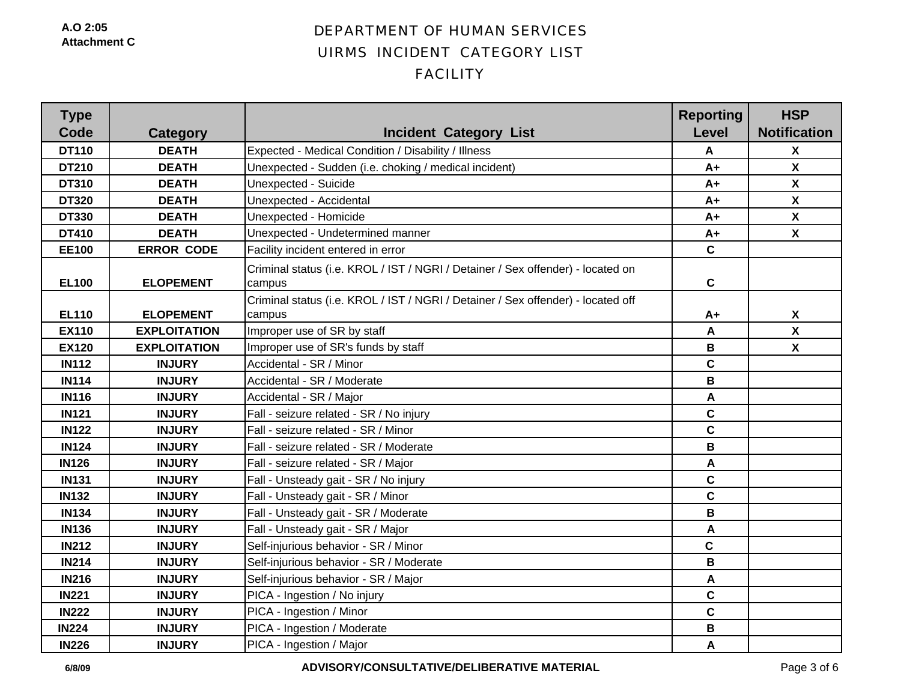| <b>Type</b><br>Code | Category            | <b>Incident Category List</b>                                                              | <b>Reporting</b><br><b>Level</b> | <b>HSP</b><br><b>Notification</b> |
|---------------------|---------------------|--------------------------------------------------------------------------------------------|----------------------------------|-----------------------------------|
| <b>DT110</b>        | <b>DEATH</b>        | Expected - Medical Condition / Disability / Illness                                        | A                                | $\boldsymbol{X}$                  |
| <b>DT210</b>        | <b>DEATH</b>        | Unexpected - Sudden (i.e. choking / medical incident)                                      | $A+$                             | $\boldsymbol{\mathsf{X}}$         |
| <b>DT310</b>        | <b>DEATH</b>        | Unexpected - Suicide                                                                       | $A+$                             | $\boldsymbol{X}$                  |
| <b>DT320</b>        | <b>DEATH</b>        | Unexpected - Accidental                                                                    | $A+$                             | $\boldsymbol{\mathsf{X}}$         |
| <b>DT330</b>        | <b>DEATH</b>        | Unexpected - Homicide                                                                      | $A+$                             | $\boldsymbol{\mathsf{X}}$         |
| <b>DT410</b>        | <b>DEATH</b>        | Unexpected - Undetermined manner                                                           | $A+$                             | $\boldsymbol{X}$                  |
| <b>EE100</b>        | <b>ERROR CODE</b>   | Facility incident entered in error                                                         | $\mathbf c$                      |                                   |
| <b>EL100</b>        | <b>ELOPEMENT</b>    | Criminal status (i.e. KROL / IST / NGRI / Detainer / Sex offender) - located on<br>campus  | $\mathbf c$                      |                                   |
| <b>EL110</b>        | <b>ELOPEMENT</b>    | Criminal status (i.e. KROL / IST / NGRI / Detainer / Sex offender) - located off<br>campus | $A+$                             | $\boldsymbol{X}$                  |
| <b>EX110</b>        | <b>EXPLOITATION</b> | Improper use of SR by staff                                                                | A                                | $\boldsymbol{\mathsf{X}}$         |
| <b>EX120</b>        | <b>EXPLOITATION</b> | Improper use of SR's funds by staff                                                        | B                                | $\boldsymbol{X}$                  |
| <b>IN112</b>        | <b>INJURY</b>       | Accidental - SR / Minor                                                                    | $\mathbf c$                      |                                   |
| <b>IN114</b>        | <b>INJURY</b>       | Accidental - SR / Moderate                                                                 | $\mathbf B$                      |                                   |
| <b>IN116</b>        | <b>INJURY</b>       | Accidental - SR / Major                                                                    | A                                |                                   |
| <b>IN121</b>        | <b>INJURY</b>       | Fall - seizure related - SR / No injury                                                    | $\mathbf C$                      |                                   |
| <b>IN122</b>        | <b>INJURY</b>       | Fall - seizure related - SR / Minor                                                        | $\mathbf c$                      |                                   |
| <b>IN124</b>        | <b>INJURY</b>       | Fall - seizure related - SR / Moderate                                                     | B                                |                                   |
| <b>IN126</b>        | <b>INJURY</b>       | Fall - seizure related - SR / Major                                                        | A                                |                                   |
| <b>IN131</b>        | <b>INJURY</b>       | Fall - Unsteady gait - SR / No injury                                                      | $\mathbf c$                      |                                   |
| <b>IN132</b>        | <b>INJURY</b>       | Fall - Unsteady gait - SR / Minor                                                          | $\mathbf c$                      |                                   |
| <b>IN134</b>        | <b>INJURY</b>       | Fall - Unsteady gait - SR / Moderate                                                       | B                                |                                   |
| <b>IN136</b>        | <b>INJURY</b>       | Fall - Unsteady gait - SR / Major                                                          | A                                |                                   |
| <b>IN212</b>        | <b>INJURY</b>       | Self-injurious behavior - SR / Minor                                                       | $\mathbf c$                      |                                   |
| <b>IN214</b>        | <b>INJURY</b>       | Self-injurious behavior - SR / Moderate                                                    | $\mathbf B$                      |                                   |
| <b>IN216</b>        | <b>INJURY</b>       | Self-injurious behavior - SR / Major                                                       | A                                |                                   |
| <b>IN221</b>        | <b>INJURY</b>       | PICA - Ingestion / No injury                                                               | $\mathbf c$                      |                                   |
| <b>IN222</b>        | <b>INJURY</b>       | PICA - Ingestion / Minor                                                                   | $\mathbf c$                      |                                   |
| <b>IN224</b>        | <b>INJURY</b>       | PICA - Ingestion / Moderate                                                                | B                                |                                   |
| <b>IN226</b>        | <b>INJURY</b>       | PICA - Ingestion / Major                                                                   | A                                |                                   |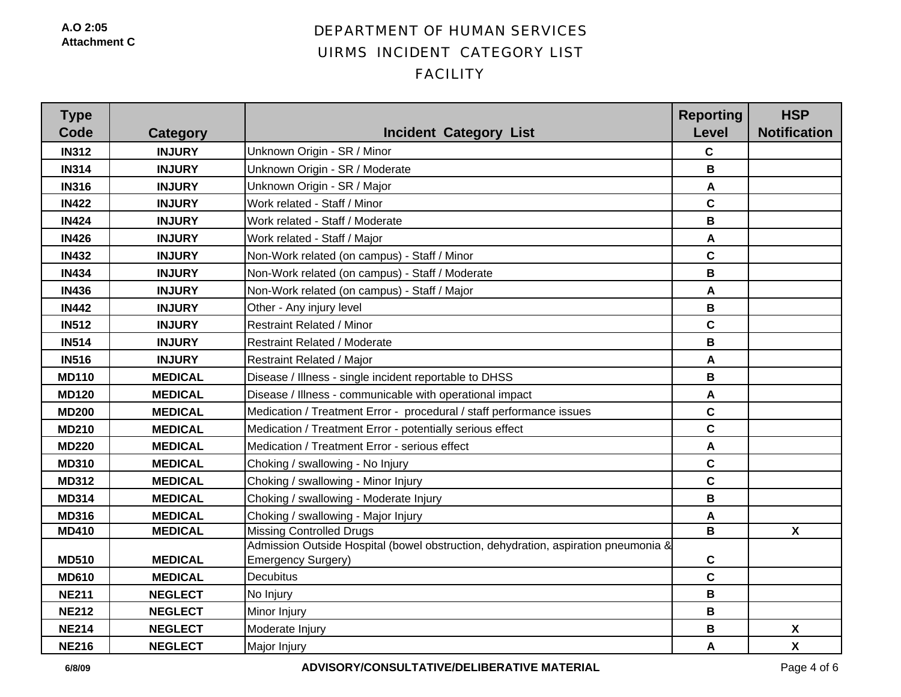| <b>Type</b><br>Code | Category       | <b>Incident Category List</b>                                                                            | <b>Reporting</b><br><b>Level</b> | <b>HSP</b><br><b>Notification</b> |
|---------------------|----------------|----------------------------------------------------------------------------------------------------------|----------------------------------|-----------------------------------|
| <b>IN312</b>        | <b>INJURY</b>  | Unknown Origin - SR / Minor                                                                              | $\mathbf c$                      |                                   |
| <b>IN314</b>        | <b>INJURY</b>  | Unknown Origin - SR / Moderate                                                                           | В                                |                                   |
| <b>IN316</b>        | <b>INJURY</b>  | Unknown Origin - SR / Major                                                                              | A                                |                                   |
| <b>IN422</b>        | <b>INJURY</b>  | Work related - Staff / Minor                                                                             | $\mathbf c$                      |                                   |
| <b>IN424</b>        | <b>INJURY</b>  | Work related - Staff / Moderate                                                                          | B                                |                                   |
| <b>IN426</b>        | <b>INJURY</b>  | Work related - Staff / Major                                                                             | A                                |                                   |
| <b>IN432</b>        | <b>INJURY</b>  | Non-Work related (on campus) - Staff / Minor                                                             | $\mathbf c$                      |                                   |
| <b>IN434</b>        | <b>INJURY</b>  | Non-Work related (on campus) - Staff / Moderate                                                          | В                                |                                   |
| <b>IN436</b>        | <b>INJURY</b>  | Non-Work related (on campus) - Staff / Major                                                             | A                                |                                   |
| <b>IN442</b>        | <b>INJURY</b>  | Other - Any injury level                                                                                 | B                                |                                   |
| <b>IN512</b>        | <b>INJURY</b>  | <b>Restraint Related / Minor</b>                                                                         | $\mathbf c$                      |                                   |
| <b>IN514</b>        | <b>INJURY</b>  | <b>Restraint Related / Moderate</b>                                                                      | B                                |                                   |
| <b>IN516</b>        | <b>INJURY</b>  | <b>Restraint Related / Major</b>                                                                         | A                                |                                   |
| <b>MD110</b>        | <b>MEDICAL</b> | Disease / Illness - single incident reportable to DHSS                                                   | В                                |                                   |
| <b>MD120</b>        | <b>MEDICAL</b> | Disease / Illness - communicable with operational impact                                                 | A                                |                                   |
| <b>MD200</b>        | <b>MEDICAL</b> | Medication / Treatment Error - procedural / staff performance issues                                     | $\mathbf c$                      |                                   |
| <b>MD210</b>        | <b>MEDICAL</b> | Medication / Treatment Error - potentially serious effect                                                | $\mathbf c$                      |                                   |
| <b>MD220</b>        | <b>MEDICAL</b> | Medication / Treatment Error - serious effect                                                            | A                                |                                   |
| <b>MD310</b>        | <b>MEDICAL</b> | Choking / swallowing - No Injury                                                                         | $\mathbf c$                      |                                   |
| <b>MD312</b>        | <b>MEDICAL</b> | Choking / swallowing - Minor Injury                                                                      | $\mathbf c$                      |                                   |
| <b>MD314</b>        | <b>MEDICAL</b> | Choking / swallowing - Moderate Injury                                                                   | В                                |                                   |
| <b>MD316</b>        | <b>MEDICAL</b> | Choking / swallowing - Major Injury                                                                      | A                                |                                   |
| <b>MD410</b>        | <b>MEDICAL</b> | <b>Missing Controlled Drugs</b>                                                                          | B                                | $\boldsymbol{\mathsf{X}}$         |
| <b>MD510</b>        | <b>MEDICAL</b> | Admission Outside Hospital (bowel obstruction, dehydration, aspiration pneumonia &<br>Emergency Surgery) | $\mathbf c$                      |                                   |
| <b>MD610</b>        | <b>MEDICAL</b> | Decubitus                                                                                                | $\mathbf c$                      |                                   |
| <b>NE211</b>        | <b>NEGLECT</b> | No Injury                                                                                                | B                                |                                   |
| <b>NE212</b>        | <b>NEGLECT</b> | Minor Injury                                                                                             | B                                |                                   |
| <b>NE214</b>        | <b>NEGLECT</b> | Moderate Injury                                                                                          | B                                | X                                 |
| <b>NE216</b>        | <b>NEGLECT</b> | Major Injury                                                                                             | A                                | $\boldsymbol{\mathsf{X}}$         |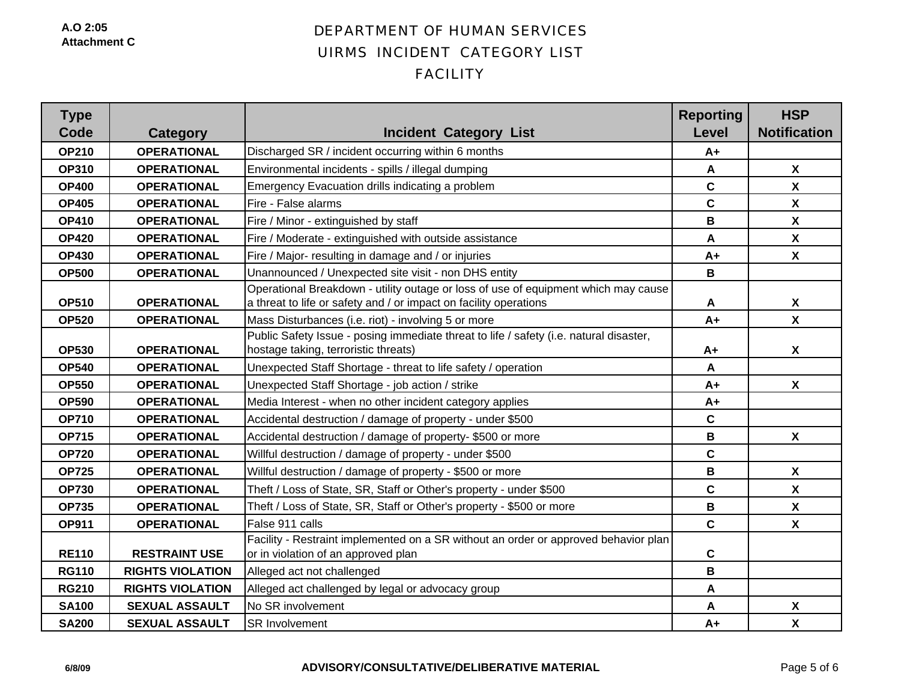| <b>Type</b><br>Code | Category                | <b>Incident Category List</b>                                                                                                                           | <b>Reporting</b><br><b>Level</b> | <b>HSP</b><br><b>Notification</b> |
|---------------------|-------------------------|---------------------------------------------------------------------------------------------------------------------------------------------------------|----------------------------------|-----------------------------------|
| <b>OP210</b>        | <b>OPERATIONAL</b>      | Discharged SR / incident occurring within 6 months                                                                                                      | $A+$                             |                                   |
| <b>OP310</b>        | <b>OPERATIONAL</b>      | Environmental incidents - spills / illegal dumping                                                                                                      | A                                | $\boldsymbol{\mathsf{X}}$         |
| <b>OP400</b>        | <b>OPERATIONAL</b>      | Emergency Evacuation drills indicating a problem                                                                                                        | $\mathbf c$                      | $\boldsymbol{\mathsf{X}}$         |
| <b>OP405</b>        | <b>OPERATIONAL</b>      | Fire - False alarms                                                                                                                                     | $\mathbf c$                      | $\boldsymbol{X}$                  |
| <b>OP410</b>        | <b>OPERATIONAL</b>      | Fire / Minor - extinguished by staff                                                                                                                    | В                                | $\boldsymbol{\mathsf{X}}$         |
| <b>OP420</b>        | <b>OPERATIONAL</b>      | Fire / Moderate - extinguished with outside assistance                                                                                                  | A                                | $\boldsymbol{\mathsf{X}}$         |
| <b>OP430</b>        | <b>OPERATIONAL</b>      | Fire / Major- resulting in damage and / or injuries                                                                                                     | $A+$                             | $\boldsymbol{\mathsf{X}}$         |
| <b>OP500</b>        | <b>OPERATIONAL</b>      | Unannounced / Unexpected site visit - non DHS entity                                                                                                    | B                                |                                   |
| <b>OP510</b>        | <b>OPERATIONAL</b>      | Operational Breakdown - utility outage or loss of use of equipment which may cause<br>a threat to life or safety and / or impact on facility operations | A                                | $\boldsymbol{X}$                  |
| <b>OP520</b>        | <b>OPERATIONAL</b>      | Mass Disturbances (i.e. riot) - involving 5 or more                                                                                                     | $A+$                             | $\boldsymbol{\mathsf{X}}$         |
| <b>OP530</b>        | <b>OPERATIONAL</b>      | Public Safety Issue - posing immediate threat to life / safety (i.e. natural disaster,<br>hostage taking, terroristic threats)                          | $A+$                             | $\boldsymbol{X}$                  |
| <b>OP540</b>        | <b>OPERATIONAL</b>      | Unexpected Staff Shortage - threat to life safety / operation                                                                                           | A                                |                                   |
| <b>OP550</b>        | <b>OPERATIONAL</b>      | Unexpected Staff Shortage - job action / strike                                                                                                         | $A+$                             | $\mathbf{x}$                      |
| <b>OP590</b>        | <b>OPERATIONAL</b>      | Media Interest - when no other incident category applies                                                                                                | $A+$                             |                                   |
| <b>OP710</b>        | <b>OPERATIONAL</b>      | Accidental destruction / damage of property - under \$500                                                                                               | $\mathbf C$                      |                                   |
| <b>OP715</b>        | <b>OPERATIONAL</b>      | Accidental destruction / damage of property- \$500 or more                                                                                              | В                                | X                                 |
| <b>OP720</b>        | <b>OPERATIONAL</b>      | Willful destruction / damage of property - under \$500                                                                                                  | $\mathbf c$                      |                                   |
| <b>OP725</b>        | <b>OPERATIONAL</b>      | Willful destruction / damage of property - \$500 or more                                                                                                | $\, {\bf B}$                     | $\pmb{\chi}$                      |
| <b>OP730</b>        | <b>OPERATIONAL</b>      | Theft / Loss of State, SR, Staff or Other's property - under \$500                                                                                      | $\mathbf c$                      | $\boldsymbol{\mathsf{X}}$         |
| <b>OP735</b>        | <b>OPERATIONAL</b>      | Theft / Loss of State, SR, Staff or Other's property - \$500 or more                                                                                    | B                                | $\boldsymbol{\mathsf{X}}$         |
| <b>OP911</b>        | <b>OPERATIONAL</b>      | False 911 calls                                                                                                                                         | $\mathbf{C}$                     | $\boldsymbol{X}$                  |
| <b>RE110</b>        | <b>RESTRAINT USE</b>    | Facility - Restraint implemented on a SR without an order or approved behavior plan<br>or in violation of an approved plan                              | $\mathbf c$                      |                                   |
| <b>RG110</b>        | <b>RIGHTS VIOLATION</b> | Alleged act not challenged                                                                                                                              | B                                |                                   |
| <b>RG210</b>        | <b>RIGHTS VIOLATION</b> | Alleged act challenged by legal or advocacy group                                                                                                       | A                                |                                   |
| <b>SA100</b>        | <b>SEXUAL ASSAULT</b>   | No SR involvement                                                                                                                                       | A                                | $\boldsymbol{\mathsf{X}}$         |
| <b>SA200</b>        | <b>SEXUAL ASSAULT</b>   | <b>SR Involvement</b>                                                                                                                                   | $A+$                             | $\boldsymbol{\mathsf{X}}$         |